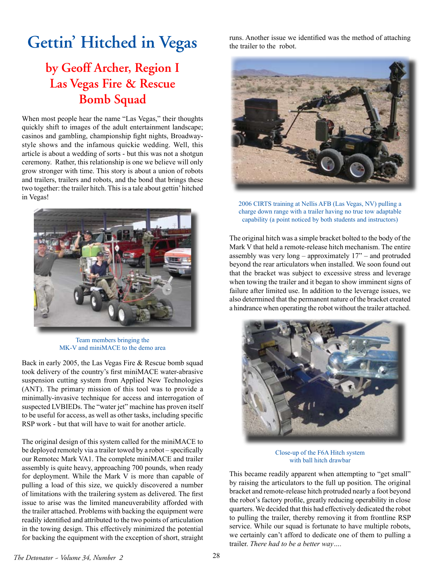## **Gettin' Hitched in Vegas**

## **by Geoff Archer, Region I Las Vegas Fire & Rescue Bomb Squad**

When most people hear the name "Las Vegas," their thoughts quickly shift to images of the adult entertainment landscape; casinos and gambling, championship fight nights, Broadwaystyle shows and the infamous quickie wedding. Well, this article is about a wedding of sorts - but this was not a shotgun ceremony. Rather, this relationship is one we believe will only grow stronger with time. This story is about a union of robots and trailers, trailers and robots, and the bond that brings these two together: the trailer hitch. This is a tale about gettin' hitched in Vegas!



Team members bringing the MK-V and miniMACE to the demo area

Back in early 2005, the Las Vegas Fire & Rescue bomb squad took delivery of the country's first miniMACE water-abrasive suspension cutting system from Applied New Technologies (ANT). The primary mission of this tool was to provide a minimally-invasive technique for access and interrogation of suspected LVBIEDs. The "water jet" machine has proven itself to be useful for access, as well as other tasks, including specific RSP work - but that will have to wait for another article.

The original design of this system called for the miniMACE to be deployed remotely via a trailer towed by a robot – specifically our Remotec Mark VA1. The complete miniMACE and trailer assembly is quite heavy, approaching 700 pounds, when ready for deployment. While the Mark V is more than capable of pulling a load of this size, we quickly discovered a number of limitations with the trailering system as delivered. The first issue to arise was the limited maneuverability afforded with the trailer attached. Problems with backing the equipment were readily identified and attributed to the two points of articulation in the towing design. This effectively minimized the potential for backing the equipment with the exception of short, straight

runs. Another issue we identified was the method of attaching the trailer to the robot.



2006 CIRTS training at Nellis AFB (Las Vegas, NV) pulling a charge down range with a trailer having no true tow adaptable capability (a point noticed by both students and instructors)

The original hitch was a simple bracket bolted to the body of the Mark V that held a remote-release hitch mechanism. The entire assembly was very long – approximately 17" – and protruded beyond the rear articulators when installed. We soon found out that the bracket was subject to excessive stress and leverage when towing the trailer and it began to show imminent signs of failure after limited use. In addition to the leverage issues, we also determined that the permanent nature of the bracket created a hindrance when operating the robot without the trailer attached.



Close-up of the F6A Hitch system with ball hitch drawbar

This became readily apparent when attempting to "get small" by raising the articulators to the full up position. The original bracket and remote-release hitch protruded nearly a foot beyond the robot's factory profile, greatly reducing operability in close quarters. We decided that this had effectively dedicated the robot to pulling the trailer, thereby removing it from frontline RSP service. While our squad is fortunate to have multiple robots, we certainly can't afford to dedicate one of them to pulling a trailer. *There had to be a better way….*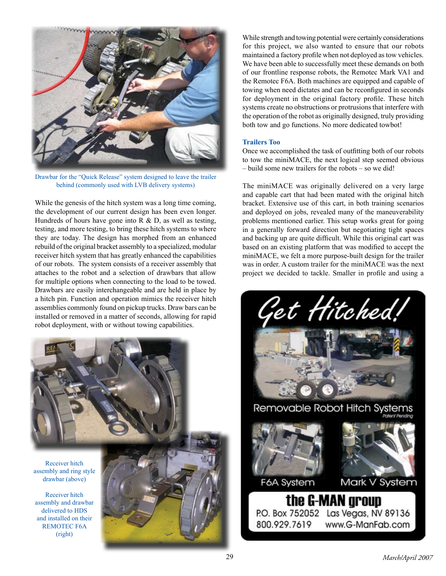

Drawbar for the "Quick Release" system designed to leave the trailer behind (commonly used with LVB delivery systems)

While the genesis of the hitch system was a long time coming, the development of our current design has been even longer. Hundreds of hours have gone into  $R \& D$ , as well as testing, testing, and more testing, to bring these hitch systems to where they are today. The design has morphed from an enhanced rebuild of the original bracket assembly to a specialized, modular receiver hitch system that has greatly enhanced the capabilities of our robots. The system consists of a receiver assembly that attaches to the robot and a selection of drawbars that allow for multiple options when connecting to the load to be towed. Drawbars are easily interchangeable and are held in place by a hitch pin. Function and operation mimics the receiver hitch assemblies commonly found on pickup trucks. Draw bars can be installed or removed in a matter of seconds, allowing for rapid robot deployment, with or without towing capabilities.



Receiver hitch assembly and ring style drawbar (above)

Receiver hitch assembly and drawbar delivered to HDS and installed on their REMOTEC F6A (right)



While strength and towing potential were certainly considerations for this project, we also wanted to ensure that our robots maintained a factory profile when not deployed as tow vehicles. We have been able to successfully meet these demands on both of our frontline response robots, the Remotec Mark VA1 and the Remotec F6A. Both machines are equipped and capable of towing when need dictates and can be reconfigured in seconds for deployment in the original factory profile. These hitch systems create no obstructions or protrusions that interfere with the operation of the robot as originally designed, truly providing both tow and go functions. No more dedicated towbot!

## **Trailers Too**

Once we accomplished the task of outfitting both of our robots to tow the miniMACE, the next logical step seemed obvious – build some new trailers for the robots – so we did!

The miniMACE was originally delivered on a very large and capable cart that had been mated with the original hitch bracket. Extensive use of this cart, in both training scenarios and deployed on jobs, revealed many of the maneuverability problems mentioned earlier. This setup works great for going in a generally forward direction but negotiating tight spaces and backing up are quite difficult. While this original cart was based on an existing platform that was modified to accept the miniMACE, we felt a more purpose-built design for the trailer was in order. A custom trailer for the miniMACE was the next project we decided to tackle. Smaller in profile and using a